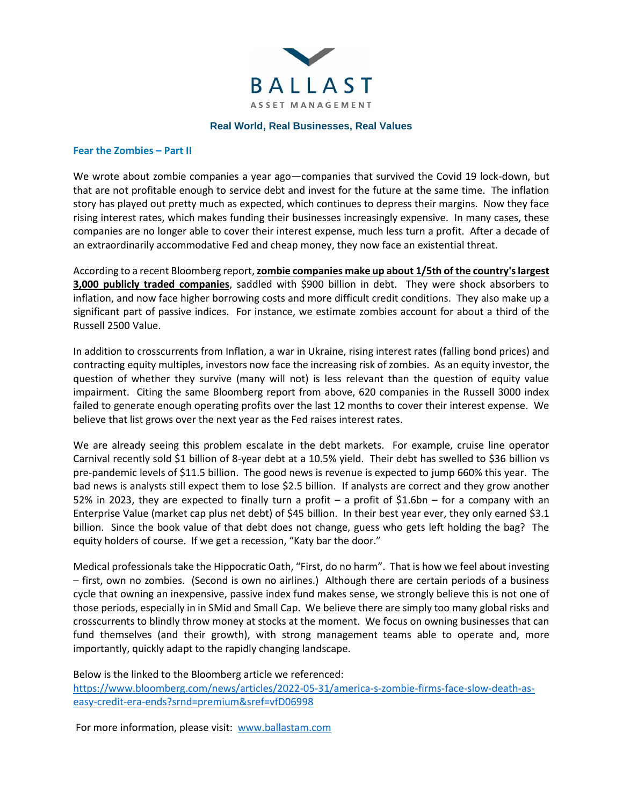

## **Real World, Real Businesses, Real Values**

## **Fear the Zombies – Part II**

We wrote about zombie companies a year ago—companies that survived the Covid 19 lock-down, but that are not profitable enough to service debt and invest for the future at the same time. The inflation story has played out pretty much as expected, which continues to depress their margins. Now they face rising interest rates, which makes funding their businesses increasingly expensive. In many cases, these companies are no longer able to cover their interest expense, much less turn a profit. After a decade of an extraordinarily accommodative Fed and cheap money, they now face an existential threat.

According to a recent Bloomberg report, **zombie companies make up about 1/5th of the country's largest 3,000 publicly traded companies**, saddled with \$900 billion in debt. They were shock absorbers to inflation, and now face higher borrowing costs and more difficult credit conditions. They also make up a significant part of passive indices. For instance, we estimate zombies account for about a third of the Russell 2500 Value.

In addition to crosscurrents from Inflation, a war in Ukraine, rising interest rates (falling bond prices) and contracting equity multiples, investors now face the increasing risk of zombies. As an equity investor, the question of whether they survive (many will not) is less relevant than the question of equity value impairment. Citing the same Bloomberg report from above, 620 companies in the Russell 3000 index failed to generate enough operating profits over the last 12 months to cover their interest expense. We believe that list grows over the next year as the Fed raises interest rates.

We are already seeing this problem escalate in the debt markets. For example, cruise line operator Carnival recently sold \$1 billion of 8-year debt at a 10.5% yield. Their debt has swelled to \$36 billion vs pre-pandemic levels of \$11.5 billion. The good news is revenue is expected to jump 660% this year. The bad news is analysts still expect them to lose \$2.5 billion. If analysts are correct and they grow another 52% in 2023, they are expected to finally turn a profit – a profit of \$1.6bn – for a company with an Enterprise Value (market cap plus net debt) of \$45 billion. In their best year ever, they only earned \$3.1 billion. Since the book value of that debt does not change, guess who gets left holding the bag? The equity holders of course. If we get a recession, "Katy bar the door."

Medical professionals take the Hippocratic Oath, "First, do no harm". That is how we feel about investing – first, own no zombies. (Second is own no airlines.) Although there are certain periods of a business cycle that owning an inexpensive, passive index fund makes sense, we strongly believe this is not one of those periods, especially in in SMid and Small Cap. We believe there are simply too many global risks and crosscurrents to blindly throw money at stocks at the moment. We focus on owning businesses that can fund themselves (and their growth), with strong management teams able to operate and, more importantly, quickly adapt to the rapidly changing landscape.

Below is the linked to the Bloomberg article we referenced: [https://www.bloomberg.com/news/articles/2022-05-31/america-s-zombie-firms-face-slow-death-as](https://www.bloomberg.com/news/articles/2022-05-31/america-s-zombie-firms-face-slow-death-as-easy-credit-era-ends?srnd=premium&sref=vfD06998)[easy-credit-era-ends?srnd=premium&sref=vfD06998](https://www.bloomberg.com/news/articles/2022-05-31/america-s-zombie-firms-face-slow-death-as-easy-credit-era-ends?srnd=premium&sref=vfD06998)

For more information, please visit: [www.ballastam.com](http://www.ballastam.com/)